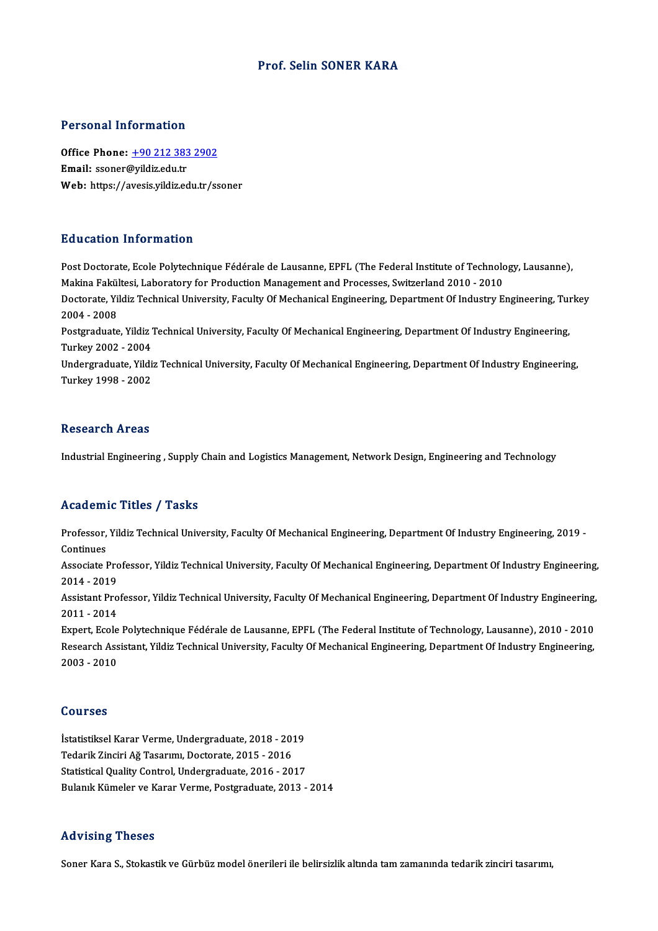### Prof. Selin SONER KARA

#### Personal Information

Office Phone: +90 212 383 2902 Email: ssoner@yildiz.edu.tr Web: https://a[vesis.yildiz.edu.tr/ss](tel:+90 212 383 2902)oner

### Education Information

Post Doctorate, Ecole Polytechnique Fédérale de Lausanne, EPFL (The Federal Institute of Technology, Lausanne), Buttourne, Makistan, Maritistan<br>Makina Fakültesi, Laboratory for Production Management and Processes, Switzerland 2010 - 2010<br>Destarato Vildiz Technicel University, Feculty Of Mechanical Engineering, Denartment Of Industry Post Doctorate, Ecole Polytechnique Fédérale de Lausanne, EPFL (The Federal Institute of Technology, Lausanne),<br>Makina Fakültesi, Laboratory for Production Management and Processes, Switzerland 2010 - 2010<br>Doctorate, Yildi Makina Fakül<br>Doctorate, Yil<br>2004 - 2008<br>Postareduate Doctorate, Yildiz Technical University, Faculty Of Mechanical Engineering, Department Of Industry Engineering, Tu<br>2004 - 2008<br>Postgraduate, Yildiz Technical University, Faculty Of Mechanical Engineering, Department Of Indu 2004 - 2008<br>Postgraduate, Yildiz Technical University, Faculty Of Mechanical Engineering, Department Of Industry Engineering,<br>Turkey 2002 - 2004 Undergraduate, Yildiz Technical University, Faculty Of Mechanical Engineering, Department Of Industry Engineering, Turkey1998 -2002

#### **Research Areas**

Industrial Engineering, Supply Chain and Logistics Management, Network Design, Engineering and Technology

### Academic Titles / Tasks

Academic Titles / Tasks<br>Professor, Yildiz Technical University, Faculty Of Mechanical Engineering, Department Of Industry Engineering, 2019 -<br>Continues Professor,<br>Continues<br>Associate I Professor, Yildiz Technical University, Faculty Of Mechanical Engineering, Department Of Industry Engineering, 2019<br>Continues<br>Associate Professor, Yildiz Technical University, Faculty Of Mechanical Engineering, Department

Continues<br>Associate Pro<br>2014 - 2019<br>Assistant Pro Associate Professor, Yildiz Technical University, Faculty Of Mechanical Engineering, Department Of Industry Engineering,<br>2014 - 2019<br>Assistant Professor, Yildiz Technical University, Faculty Of Mechanical Engineering, Depa

2014 - 2019<br>Assistant Pro<br>2011 - 2014<br>Eunart Escle Assistant Professor, Yildiz Technical University, Faculty Of Mechanical Engineering, Department Of Industry Engineering,<br>2011 - 2014<br>Expert, Ecole Polytechnique Fédérale de Lausanne, EPFL (The Federal Institute of Technolo

2011 - 2014<br>Expert, Ecole Polytechnique Fédérale de Lausanne, EPFL (The Federal Institute of Technology, Lausanne), 2010 - 2010<br>Research Assistant, Yildiz Technical University, Faculty Of Mechanical Engineering, Department Expert, Ecole<br>Research Ass<br>2003 - 2010 2003 - 2010<br>Courses

İstatistiksel Karar Verme, Undergraduate, 2018 - 2019 Jourses<br>İstatistiksel Karar Verme, Undergraduate, 2018 - 201<br>Tedarik Zinciri Ağ Tasarımı, Doctorate, 2015 - 2016<br>Statistical Quality Control, Undergraduate, 2016 - 20 İstatistiksel Karar Verme, Undergraduate, 2018 - 2019<br>Tedarik Zinciri Ağ Tasarımı, Doctorate, 2015 - 2016<br>Statistical Quality Control, Undergraduate, 2016 - 2017<br>Bulanık Kümeler ve Karar Verme, Bestereduate, 2012 Statistical Quality Control, Undergraduate, 2016 - 2017<br>Bulanık Kümeler ve Karar Verme, Postgraduate, 2013 - 2014

### Advising Theses

Soner Kara S., Stokastik ve Gürbüz model önerileri ile belirsizlik altında tam zamanında tedarik zinciri tasarımı,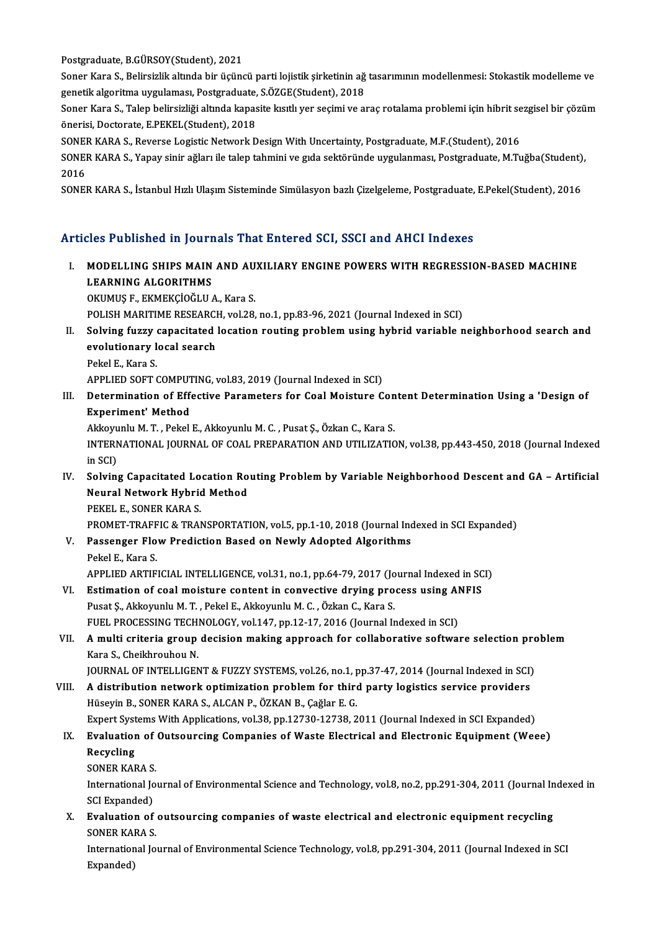Postgraduate, B.GÜRSOY(Student), 2021

Postgraduate, B.GÜRSOY(Student), 2021<br>Soner Kara S., Belirsizlik altında bir üçüncü parti lojistik şirketinin ağ tasarımının modellenmesi: Stokastik modelleme ve<br>Sonetik alsonitme uygulamesi, Bestanaduata, S.ÖZCE(Student), Postgraduate, B.GÜRSOY(Student), 2021<br>Soner Kara S., Belirsizlik altında bir üçüncü parti lojistik şirketinin ağ<br>genetik algoritma uygulaması, Postgraduate, S.ÖZGE(Student), 2018<br>Soner Kara S. Talen belingizliği altında ka Soner Kara S., Belirsizlik altında bir üçüncü parti lojistik şirketinin ağ tasarımının modellenmesi: Stokastik modelleme ve<br>genetik algoritma uygulaması, Postgraduate, S.ÖZGE(Student), 2018<br>Soner Kara S., Talep belirsizliğ

genetik algoritma uygulaması, Postgraduate,<br>Soner Kara S., Talep belirsizliği altında kapas<br>önerisi, Doctorate, E.PEKEL(Student), 2018<br>SONER KARA S. Roverse Logistis Network D Soner Kara S., Talep belirsizliği altında kapasite kısıtlı yer seçimi ve araç rotalama problemi için hibrit se<br>önerisi, Doctorate, E.PEKEL(Student), 2018<br>SONER KARA S., Reverse Logistic Network Design With Uncertainty, Pos

önerisi, Doctorate, E.PEKEL(Student), 2018<br>SONER KARA S., Reverse Logistic Network Design With Uncertainty, Postgraduate, M.F.(Student), 2016<br>SONER KARA S., Yapay sinir ağları ile talep tahmini ve gıda sektöründe uygulanma **SONE<br>2016**<br>2016<br>SONE! SONER KARA S., Yapay sinir ağları ile talep tahmini ve gıda sektöründe uygulanması, Postgraduate, M.Tuğba(Student)<br>2016<br>SONER KARA S., İstanbul Hızlı Ulaşım Sisteminde Simülasyon bazlı Çizelgeleme, Postgraduate, E.Pekel(St

SONER KARA S., İstanbul Hızlı Ulaşım Sisteminde Simülasyon bazlı Çizelgeleme, Postgraduate, E.Pekel(Student), 2016<br>Articles Published in Journals That Entered SCI. SSCI and AHCI Indexes

Tticles Published in Journals That Entered SCI, SSCI and AHCI Indexes<br>I. MODELLING SHIPS MAIN AND AUXILIARY ENGINE POWERS WITH REGRESSION-BASED MACHINE MODELLING SHIPS MAIN<br>MODELLING SHIPS MAIN<br>LEARNING ALGORITHMS<br>OVIMUS E. EVMEVCIOČI II MODELLING SHIPS MAIN AND AU<br>LEARNING ALGORITHMS<br>OKUMUŞ F., EKMEKÇİOĞLU A., Kara S.<br>POLISH MARITIME RESEARCH .val 38 L<mark>EARNING ALGORITHMS</mark><br>OKUMUŞ F., EKMEKÇİOĞLU A., Kara S.<br>POLISH MARITIME RESEARCH, vol.28, no.1, pp.83-96, 2021 (Journal Indexed in SCI)<br>Selving fuguy senegitated legation neuting problem using bubrid yeniable n

OKUMUŞ F., EKMEKÇİOĞLU A., Kara S.<br>POLISH MARITIME RESEARCH, vol.28, no.1, pp.83-96, 2021 (Journal Indexed in SCI)<br>II. Solving fuzzy capacitated location routing problem using hybrid variable neighborhood search and<br>ev POLISH MARITIME RESEARCI<br>Solving fuzzy capacitated<br>evolutionary local search<br>Pekel E. Kare S **Solving fuzzy<br>evolutionary l<br>Pekel E., Kara S.<br>APPLIED SOET (** evolutionary local search<br>Pekel E., Kara S.<br>APPLIED SOFT COMPUTING, vol.83, 2019 (Journal Indexed in SCI)

Pekel E., Kara S.<br>APPLIED SOFT COMPUTING, vol.83, 2019 (Journal Indexed in SCI)<br>III. Determination of Effective Parameters for Coal Moisture Content Determination Using a 'Design of<br>Experiment' Method APPLIED SOFT COMPUT<br>Determination of Eff<br>Experiment' Method<br>Akkomply M.T. Pekel Determination of Effective Parameters for Coal Moisture Con<br>Experiment' Method<br>Akkoyunlu M. T. , Pekel E., Akkoyunlu M. C. , Pusat Ş., Özkan C., Kara S.<br>INTERNATIONAL JOURNAL OF COAL RRERARATION AND UTU IZATIC

Experiment' Method<br>Akkoyunlu M. T. , Pekel E., Akkoyunlu M. C. , Pusat Ş., Özkan C., Kara S.<br>INTERNATIONAL JOURNAL OF COAL PREPARATION AND UTILIZATION, vol.38, pp.443-450, 2018 (Journal Indexed<br>in SCI) Akkoyunlu M. T., Pekel E., Akkoyunlu M. C., Pusat Ş., Özkan C., Kara S. INTERNATIONAL JOURNAL OF COAL PREPARATION AND UTILIZATION, vol.38, pp.443-450, 2018 (Journal Indexed<br>in SCI)<br>IV. Solving Capacitated Location Routing Problem by Variable Neighborhood Descent and GA – Artificial<br>Neural Netw

in SCI)<br>Solving Capacitated Location Ro<br>Neural Network Hybrid Method<br>PEKEL E, SONER KARA S Solving Capacitated Lo<br>Neural Network Hybric<br>PEKEL E., SONER KARA S.<br>PPOMET TPAEEIC & TPAI Neural Network Hybrid Method<br>PEKEL E., SONER KARA S.<br>PROMET-TRAFFIC & TRANSPORTATION, vol.5, pp.1-10, 2018 (Journal Indexed in SCI Expanded)<br>Pessenger Flow Prediction Based on Newly Adented Algorithme

PEKEL E., SONER KARA S.<br>PROMET-TRAFFIC & TRANSPORTATION, vol.5, pp.1-10, 2018 (Journal Inc<br>V. Passenger Flow Prediction Based on Newly Adopted Algorithms<br>Pekal E. Kara S. PROMET-TRAFF<br>Passenger Flo<br>Pekel E., Kara S.<br>APPLIED APTIE Passenger Flow Prediction Based on Newly Adopted Algorithms<br>Pekel E., Kara S.<br>APPLIED ARTIFICIAL INTELLIGENCE, vol.31, no.1, pp.64-79, 2017 (Journal Indexed in SCI)<br>Estimation of soal mojsture content in convective druins

- Pekel E., Kara S.<br>APPLIED ARTIFICIAL INTELLIGENCE, vol.31, no.1, pp.64-79, 2017 (Journal Indexed in SC<br>VI. Estimation of coal moisture content in convective drying process using ANFIS<br>Puset S. Alternaly M.T. Pekel E. Alter VI. Estimation of coal moisture content in convective drying process using ANFIS<br>Pusat Ş., Akkoyunlu M. T., Pekel E., Akkoyunlu M. C., Özkan C., Kara S. Estimation of coal moisture content in convective drying process using Al<br>Pusat Ș., Akkoyunlu M. T. , Pekel E., Akkoyunlu M. C. , Özkan C., Kara S.<br>FUEL PROCESSING TECHNOLOGY, vol.147, pp.12-17, 2016 (Journal Indexed in SC
- VII. A multi criteria group decision making approach for collaborative software selection problem<br>Kara S., Cheikhrouhou N. FUEL PROCESSING TECH<br>**A multi criteria group<br>Kara S., Cheikhrouhou N.**<br>JOUPNAL OF INTELLICEN A multi criteria group decision making approach for collaborative software selection pro<br>Kara S., Cheikhrouhou N.<br>JOURNAL OF INTELLIGENT & FUZZY SYSTEMS, vol.26, no.1, pp.37-47, 2014 (Journal Indexed in SCI)<br>A distribution

Kara S., Cheikhrouhou N.<br>JOURNAL OF INTELLIGENT & FUZZY SYSTEMS, vol.26, no.1, pp.37-47, 2014 (Journal Indexed in SCI)<br>VIII. A distribution network optimization problem for third party logistics service providers<br>Hiscovin VIII. A distribution network optimization problem for third party logistics service providers<br>Hüseyin B., SONER KARA S., ALCAN P., ÖZKAN B., Çağlar E. G. A distribution network optimization problem for third party logistics service providers<br>Hüseyin B., SONER KARA S., ALCAN P., ÖZKAN B., Çağlar E. G.<br>Expert Systems With Applications, vol.38, pp.12730-12738, 2011 (Journal In

### Hüseyin B., SONER KARA S., ALCAN P., ÖZKAN B., Çağlar E. G.<br>Expert Systems With Applications, vol.38, pp.12730-12738, 2011 (Journal Indexed in SCI Expanded)<br>IX. Evaluation of Outsourcing Companies of Waste Electrical and E Expert Syst<br><mark>Evaluatior</mark><br>Recycling<br>SONER KAI Evaluation of<br>Recycling<br>SONER KARA S.<br>International Io

SONER KARA S.

Recycling<br>SONER KARA S.<br>International Journal of Environmental Science and Technology, vol.8, no.2, pp.291-304, 2011 (Journal Indexed in<br>SCI Expanded) International Journal of Environmental Science and Technology, vol.8, no.2, pp.291-304, 2011 (Journal In SCI Expanded)<br>X. Evaluation of outsourcing companies of waste electrical and electronic equipment recycling<br>SONER KAR

SCI Expanded)<br>Evaluation of<br>SONER KARA S.<br>International Io Evaluation of outsourcing companies of waste electrical and electronic equipment recycling<br>SONER KARA S.<br>International Journal of Environmental Science Technology, vol.8, pp.291-304, 2011 (Journal Indexed in SCI<br>Eynanded)

SONER KAI<br>Internatior<br>Expanded)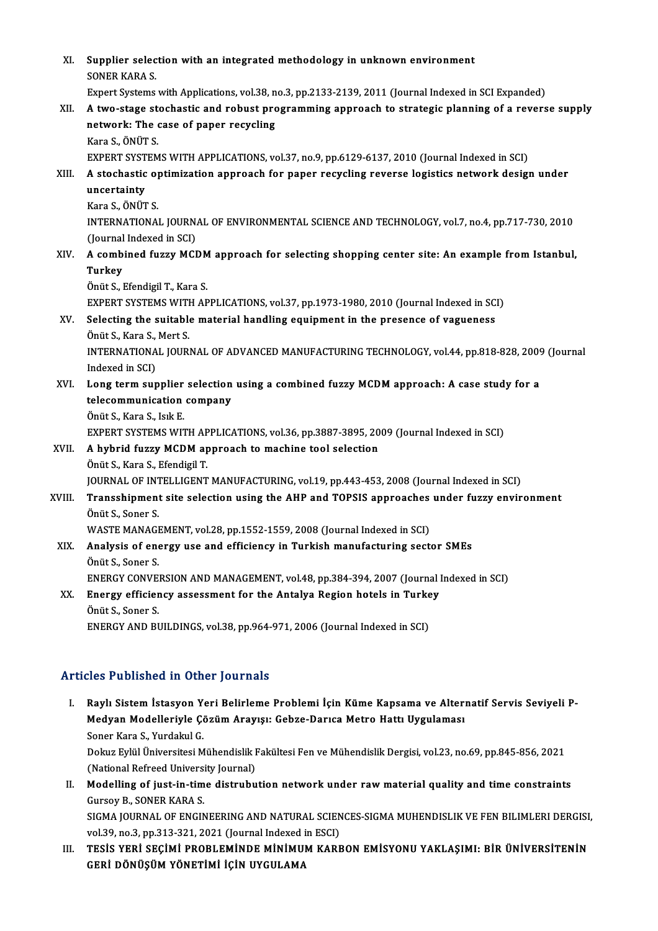XI. Supplier selection with an integrated methodology in unknown environment<br>SONER KARA S Supplier selec<br>SONER KARA S.<br>Euport Systems SONER KARA S.<br>Expert Systems with Applications, vol.38, no.3, pp.2133-2139, 2011 (Journal Indexed in SCI Expanded) SONER KARA S.<br>Expert Systems with Applications, vol.38, no.3, pp.2133-2139, 2011 (Journal Indexed in SCI Expanded)<br>XII. A two-stage stochastic and robust programming approach to strategic planning of a reverse supply<br>netwo Expert Systems with Applications, vol.38, n<br>A two-stage stochastic and robust pro<br>network: The case of paper recycling<br>Kara S. ÖNÜT S **A two-stage st<br>network: The <br>Kara S., ÖNÜT S.<br>EVDEDT SVSTEM** network: The case of paper recycling<br>Kara S., ÖNÜT S.<br>EXPERT SYSTEMS WITH APPLICATIONS, vol.37, no.9, pp.6129-6137, 2010 (Journal Indexed in SCI)<br>A stachastic ontimization approach for paper recycling reverse logistics pat Kara S., ÖNÜT S.<br>EXPERT SYSTEMS WITH APPLICATIONS, vol.37, no.9, pp.6129-6137, 2010 (Journal Indexed in SCI)<br>XIII. A stochastic optimization approach for paper recycling reverse logistics network design under<br>uncortain EXPERT SYST<br>A stochastic<br>uncertainty<br>Kara S. ÖNÜT A stochastic o<mark>)</mark><br>uncertainty<br>Kara S., ÖNÜT S.<br>INTERNATIONA uncertainty<br>Kara S., ÖNÜT S.<br>INTERNATIONAL JOURNAL OF ENVIRONMENTAL SCIENCE AND TECHNOLOGY, vol.7, no.4, pp.717-730, 2010<br>(Journal Indoved in SCD Kara S., ÖNÜT S.<br>INTERNATIONAL JOURN.<br>(Journal Indexed in SCI)<br>A combined fuzzy MCI INTERNATIONAL JOURNAL OF ENVIRONMENTAL SCIENCE AND TECHNOLOGY, vol.7, no.4, pp.717-730, 2010<br>(Journal Indexed in SCI)<br>XIV. A combined fuzzy MCDM approach for selecting shopping center site: An example from Istanbul,<br>Turkey (Journal)<br>A comb<br>Turkey<br>Önüt S A combined fuzzy MCDM<br>Turkey<br>Önüt S., Efendigil T., Kara S.<br>EYBERT SYSTEMS WITH AR Turkey<br>Önüt S., Efendigil T., Kara S.<br>EXPERT SYSTEMS WITH APPLICATIONS, vol.37, pp.1973-1980, 2010 (Journal Indexed in SCI) Önüt S., Efendigil T., Kara S.<br>EXPERT SYSTEMS WITH APPLICATIONS, vol.37, pp.1973-1980, 2010 (Journal Indexed in SC)<br>XV. Selecting the suitable material handling equipment in the presence of vagueness<br>Önüt S. Kara S. Mort S EXPERT SYSTEMS WITH<br>Selecting the suitable<br>Önüt S., Kara S., Mert S.<br>INTERNATIONAL JOURI Selecting the suitable material handling equipment in the presence of vagueness<br>Önüt S., Kara S., Mert S.<br>INTERNATIONAL JOURNAL OF ADVANCED MANUFACTURING TECHNOLOGY, vol.44, pp.818-828, 2009 (Journal<br>Indeved in SCL) Önüt S., Kara S.,<br>INTERNATIONA<br>Indexed in SCI)<br>Long tarm aur INTERNATIONAL JOURNAL OF ADVANCED MANUFACTURING TECHNOLOGY, vol.44, pp.818-828, 2009<br>Indexed in SCI)<br>XVI. Long term supplier selection using a combined fuzzy MCDM approach: A case study for a<br>telecommunication company Indexed in SCI)<br>XVI. Long term supplier selection using a combined fuzzy MCDM approach: A case study for a<br>telecommunication company ÖnütS.,Kara S., IsıkE. telecommunication company<br>Önüt S., Kara S., Isık E.<br>EXPERT SYSTEMS WITH APPLICATIONS, vol.36, pp.3887-3895, 2009 (Journal Indexed in SCI)<br>A hybrid fuggy MCDM approach to machine tool selection XVII. A hybrid fuzzy MCDM approach to machine tool selection<br>Önüt S., Kara S., Efendigil T. EXPERT SYSTEMS WITH AP<br>A hybrid fuzzy MCDM ap<br>Önüt S., Kara S., Efendigil T.<br>JOUPNAL OF INTELLICENT JOURNAL OF INTELLIGENT MANUFACTURING, vol.19, pp.443-453, 2008 (Journal Indexed in SCI) Önüt S., Kara S., Efendigil T.<br>JOURNAL OF INTELLIGENT MANUFACTURING, vol.19, pp.443-453, 2008 (Journal Indexed in SCI)<br>XVIII. Transshipment site selection using the AHP and TOPSIS approaches under fuzzy environment<br>Önü **JOURNAL OF INT<br>Transshipment<br>Önüt S., Soner S.<br>WASTE MANACI** Transshipment site selection using the AHP and TOPSIS approaches<br>Önüt S., Soner S.<br>WASTE MANAGEMENT, vol.28, pp.1552-1559, 2008 (Journal Indexed in SCI)<br>Analysis of energy use and efficiency in Turkish manufacturing sect Önüt S., Soner S.<br>WASTE MANAGEMENT, vol.28, pp.1552-1559, 2008 (Journal Indexed in SCI)<br>XIX. Analysis of energy use and efficiency in Turkish manufacturing sector SMEs<br>Önüt S., Soner S. WASTE MANAGEMENT, vol.28, pp.1552-1559, 2008 (Journal Indexed in SCI) Analysis of energy use and efficiency in Turkish manufacturing sector SMEs<br>Önüt S., Soner S.<br>ENERGY CONVERSION AND MANAGEMENT, vol.48, pp.384-394, 2007 (Journal Indexed in SCI)<br>Energy officiency assessment for the Antelya Önüt S., Soner S.<br>ENERGY CONVERSION AND MANAGEMENT, vol.48, pp.384-394, 2007 (Journal )<br>XX. Energy efficiency assessment for the Antalya Region hotels in Turkey<br>Önüt S. Soner S. ENERGY CONVE<br>Energy efficier<br>Önüt S., Soner S.<br>ENERCY AND BL XX. Energy efficiency assessment for the Antalya Region hotels in Turkey<br>Önüt S., Soner S.<br>ENERGY AND BUILDINGS, vol.38, pp.964-971, 2006 (Journal Indexed in SCI)

### Articles Published in Other Journals

I. Raylı Sistemİstasyon Yeri Belirleme Problemi İçin Küme Kapsama ve Alternatif Servis Seviyeli P-Med'i dönencu in olner journale<br>Raylı Sistem İstasyon Yeri Belirleme Problemi İçin Küme Kapsama ve Alteri<br>Medyan Modelleriyle Çözüm Arayışı: Gebze-Darıca Metro Hattı Uygulaması<br>Sanar Kara S. Yurdakul C Raylı Sistem İstasyon Y<br>Medyan Modelleriyle Çö<br>Soner Kara S., Yurdakul G.<br>Dolara Fulül Üniversitesi M Medyan Modelleriyle Çözüm Arayışı: Gebze-Darıca Metro Hattı Uygulaması<br>Soner Kara S., Yurdakul G.<br>Dokuz Eylül Üniversitesi Mühendislik Fakültesi Fen ve Mühendislik Dergisi, vol.23, no.69, pp.845-856, 2021<br>(National Befreed Soner Kara S., Yurdakul G.<br>Dokuz Eylül Üniversitesi Mühendislik I<br>(National Refreed University Journal)<br>Modelling of just in time distrubu II. Modelling of just-in-time distrubution network under raw material quality and time constraints<br>Gursoy B., SONER KARA S. (National Refreed University Journal) Modelling of just-in-time distrubution network under raw material quality and time constraints<br>Gursoy B., SONER KARA S.<br>SIGMA JOURNAL OF ENGINEERING AND NATURAL SCIENCES-SIGMA MUHENDISLIK VE FEN BILIMLERI DERGISI,<br>vol 30,

Gursoy B., SONER KARA S.<br>SIGMA JOURNAL OF ENGINEERING AND NATURAL SCIEN<br>vol.39, no.3, pp.313-321, 2021 (Journal Indexed in ESCI)<br>TESIS VERL SECIMI BROBLEMINDE MINIMUM KARE SIGMA JOURNAL OF ENGINEERING AND NATURAL SCIENCES-SIGMA MUHENDISLIK VE FEN BILIMLERI DERGISI<br>vol.39, no.3, pp.313-321, 2021 (Journal Indexed in ESCI)<br>III. TESİS YERİ SEÇİMİ PROBLEMİNDE MİNİMUM KARBON EMİSYONU YAKLAŞIMI: Bİ

vol.39, no.3, pp.313-321, 2021 (Journal Indexed in ESCI)<br>III. TESİS YERİ SEÇİMİ PROBLEMİNDE MİNİMUM KARBON EMİSYONU YAKLAŞIMI: BİR ÜNİVERSİTENİN<br>GERİ DÖNÜŞÜM YÖNETİMİ İÇİN UYGULAMA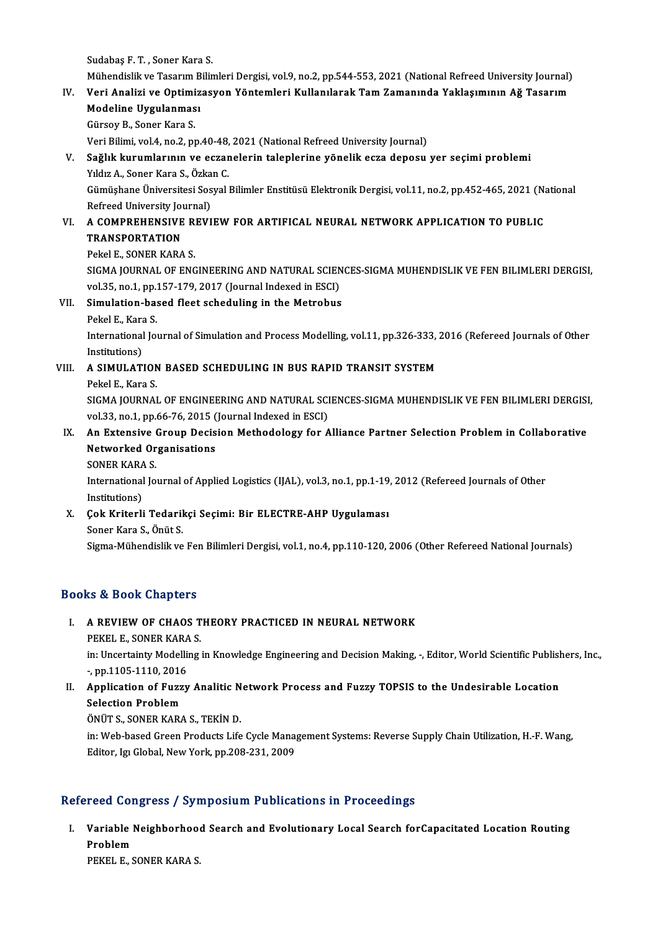Sudabaş F.T., Soner Kara S.

Sudabaş F. T. , Soner Kara S.<br>Mühendislik ve Tasarım Bilimleri Dergisi, vol.9, no.2, pp.544-553, 2021 (National Refreed University Journal)<br>Veri Analizi ve Ontimizesyon Yöntemleri Kullanılarak Tem Zemanında Yaklasımının Ağ

### Sudabaş F. T. , Soner Kara S.<br>Mühendislik ve Tasarım Bilimleri Dergisi, vol.9, no.2, pp.544-553, 2021 (National Refreed University Journal)<br>IV. Veri Analizi ve Optimizasyon Yöntemleri Kullanılarak Tam Zamanında Yaklaşı Mühendislik ve Tasarım B<br>Veri Analizi ve Optimiz<br>Modeline Uygulanması<br>Güneev B. Saner Kare S IV. Veri Analizi ve Optimizasyon Yöntemleri Kullanılarak Tam Zamanında Yaklaşımının Ağ Tasarım<br>Modeline Uygulanması<br>Gürsoy B., Soner Kara S.

Veri Bilimi, vol.4, no.2, pp.40-48, 2021 (National Refreed University Journal)

## Gürsoy B., Soner Kara S.<br>Veri Bilimi, vol.4, no.2, pp.40-48, 2021 (National Refreed University Journal)<br>V. Sağlık kurumlarının ve eczanelerin taleplerine yönelik ecza deposu yer seçimi problemi<br>Vildir A. Sonor Kara S. Özka Veri Bilimi, vol.4, no.2, pp.40-48,<br><mark>Sağlık kurumlarının ve eczar</mark><br>Yıldız A., Soner Kara S., Özkan C.<br>Cümüsbane Üniversitesi Sesval i

Sağlık kurumlarının ve eczanelerin taleplerine yönelik ecza deposu yer seçimi problemi<br>Yıldız A., Soner Kara S., Özkan C.<br>Gümüşhane Üniversitesi Sosyal Bilimler Enstitüsü Elektronik Dergisi, vol.11, no.2, pp.452-465, 2021 Yıldız A., Soner Kara S., Özka<br>Gümüşhane Üniversitesi Sos<br>Refreed University Journal)<br>A COMBREHENSIVE REVI Gümüşhane Üniversitesi Sosyal Bilimler Enstitüsü Elektronik Dergisi, vol.11, no.2, pp.452-465, 2021 (N:<br>Refreed University Journal)<br>VI. – A COMPREHENSIVE REVIEW FOR ARTIFICAL NEURAL NETWORK APPLICATION TO PUBLIC<br>TRANSPORTA

## Refreed University Journal)<br>VI. A COMPREHENSIVE REVIEW FOR ARTIFICAL NEURAL NETWORK APPLICATION TO PUBLIC<br>TRANSPORTATION

Pekel E., SONER KARA S.

TRANSPORTATION<br>Pekel E., SONER KARA S.<br>SIGMA JOURNAL OF ENGINEERING AND NATURAL SCIENCES-SIGMA MUHENDISLIK VE FEN BILIMLERI DERGISI,<br>Vel 35, no.1, nn 157,179, 3017 (Journal Indoved in ESCI). Pekel E., SONER KARA S.<br>SIGMA JOURNAL OF ENGINEERING AND NATURAL SCIEN<br>vol.35, no.1, pp.157-179, 2017 (Journal Indexed in ESCI)<br>Simulation based fleet scheduling in the Metrobus vol.35, no.1, pp.157-179, 2017 (Journal Indexed in ESCI)

### VII. Simulation-based fleet scheduling in the Metrobus International Journal of Simulation and Process Modelling, vol.11, pp.326-333, 2016 (Refereed Journals of Other<br>Institutions) Pekel E, Kara S International Journal of Simulation and Process Modelling, vol.11, pp.326-333,<br>Institutions)<br>VIII. A SIMULATION BASED SCHEDULING IN BUS RAPID TRANSIT SYSTEM<br>Pakal E. Kara S

Institutions)<br>A SIMULATION<br>Pekel E., Kara S.<br>SICMA JOUPNAI Pekel E., Kara S.<br>SIGMA JOURNAL OF ENGINEERING AND NATURAL SCIENCES-SIGMA MUHENDISLIK VE FEN BILIMLERI DERGISI, Pekel E., Kara S.<br>SIGMA JOURNAL OF ENGINEERING AND NATURAL SCI<br>vol.33, no.1, pp.66-76, 2015 (Journal Indexed in ESCI)<br>An Extensive Croup Desision Methodology for A SIGMA JOURNAL OF ENGINEERING AND NATURAL SCIENCES-SIGMA MUHENDISLIK VE FEN BILIMLERI DERGISI<br>vol.33, no.1, pp.66-76, 2015 (Journal Indexed in ESCI)<br>IX. An Extensive Group Decision Methodology for Alliance Partner Selection

## vol.33, no.1, pp.66-76, 2015 (<br>An Extensive Group Decis<br>Networked Organisations<br>SONEP KARA S An Extensive<br>Networked Or<br>SONER KARA S.<br>International Io

Networked Organisations<br>SONER KARA S.<br>International Journal of Applied Logistics (IJAL), vol.3, no.1, pp.1-19, 2012 (Refereed Journals of Other<br>Institutions) SONER KARA<br>International<br>Institutions)<br>Cols Kritorli International Journal of Applied Logistics (IJAL), vol.3, no.1, pp.1-19<br>Institutions)<br>X. Cok Kriterli Tedarikçi Seçimi: Bir ELECTRE-AHP Uygulaması<br>Sanar Kara S. Önüt S.

# Institutions)<br>Çok Kriterli Tedaril<br>Soner Kara S., Önüt S.<br>Sigma Mühandialikua

Soner Kara S., Önüt S.<br>Sigma-Mühendislik ve Fen Bilimleri Dergisi, vol.1, no.4, pp.110-120, 2006 (Other Refereed National Journals)

### Books&Book Chapters

## OOks & Book Chapters<br>I. A REVIEW OF CHAOS THEORY PRACTICED IN NEURAL NETWORK E COOK SHAP COOPSE<br>A REVIEW OF CHAOS T<br>PEKEL E., SONER KARA S.

PEKEL E., SONER KARA S.<br>in: Uncertainty Modelling in Knowledge Engineering and Decision Making, -, Editor, World Scientific Publishers, Inc., PEKEL E., SONER KARA<br>in: Uncertainty Modelli<br>-, pp.1105-1110, 2016 In: Uncertainty Modelling in Knowledge Engineering and Decision Making, -, Editor, World Scientific Publish<br>
1. Application of Fuzzy Analitic Network Process and Fuzzy TOPSIS to the Undesirable Location<br>
1. Selection Probl

## -, pp.1105-1110, 2016<br>Application of Fuzz<br>Selection Problem<br>ÖNUTS SONER KAR Application of Fuzzy Analitic N<br>Selection Problem<br>ÖNÜT S., SONER KARA S., TEKİN D.<br>in: Web based Creen Products Life

Selection Problem<br>ÖNÜT S., SONER KARA S., TEKİN D.<br>in: Web-based Green Products Life Cycle Management Systems: Reverse Supply Chain Utilization, H.-F. Wang,<br>Editor, J.a. Clabel, Nav: York, np.209,221, 2009. ÖNÜT S., SONER KARA S., TEKİN D.<br>in: Web-based Green Products Life Cycle Mana<sub>i</sub><br>Editor, Igı Global, New York, pp.208-231, 2009

# Editor, Igı Global, New York, pp.208-231, 2009<br>Refereed Congress / Symposium Publications in Proceedings

efereed Congress / Symposium Publications in Proceedings<br>I. Variable Neighborhood Search and Evolutionary Local Search forCapacitated Location Routing<br>Rephlem Problem<br>Problem<br>Problem Variable Neighborhoo<br>Problem<br>PEKEL E., SONER KARA S.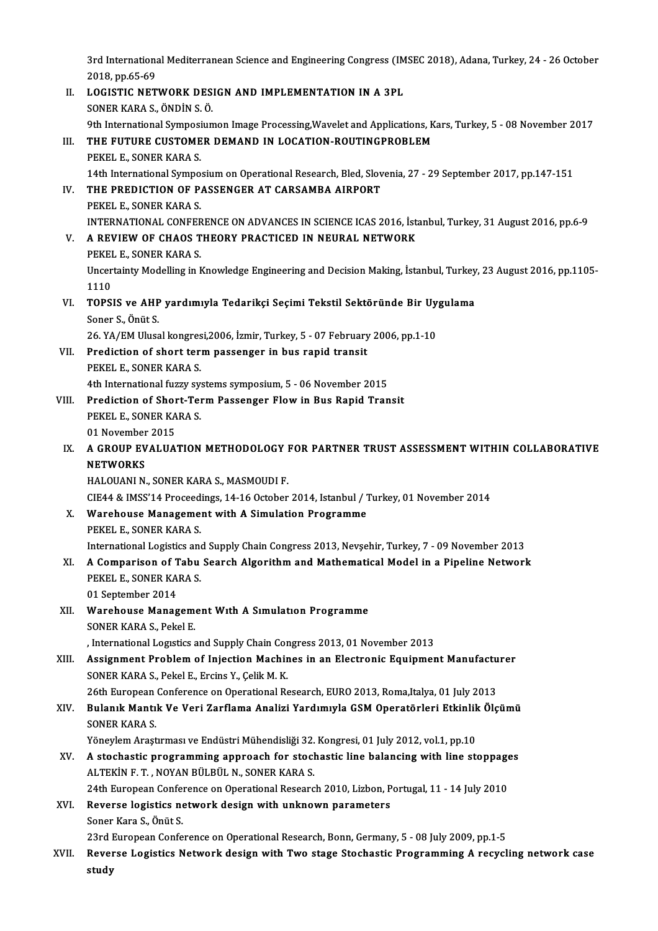3rd International Mediterranean Science and Engineering Congress (IMSEC 2018), Adana, Turkey, 24 - 26 October<br>2018 nn 65,60 3rd Internation<br>2018, pp.65-69<br>LOCISTIC NET 3rd International Mediterranean Science and Engineering Congress (IM<br>2018, pp.65-69<br>II. LOGISTIC NETWORK DESIGN AND IMPLEMENTATION IN A 3PL<br>SONER KARA S ÖNDIN S Ö

2018, pp.65-69<br>II. LOGISTIC NETWORK DESIGN AND IMPLEMENTATION IN A 3PL<br>SONER KARA S., ÖNDİN S. Ö. LOGISTIC NETWORK DESIGN AND IMPLEMENTATION IN A 3PL<br>SONER KARA S., ÖNDİN S. Ö.<br>9th International Symposiumon Image Processing,Wavelet and Applications, Kars, Turkey, 5 - 08 November 2017<br>THE EUTURE CUSTOMER DEMAND IN LOCAT III. THE FUTURE CUSTOMER DEMAND IN LOCATION-ROUTINGPROBLEM<br>PEKEL E., SONER KARA S. 9th International Symposi<br>THE FUTURE CUSTOME<br>PEKEL E., SONER KARA S.<br>14th International Sympo THE FUTURE CUSTOMER DEMAND IN LOCATION-ROUTINGPROBLEM<br>PEKEL E., SONER KARA S.<br>14th International Symposium on Operational Research, Bled, Slovenia, 27 - 29 September 2017, pp.147-151<br>THE PREDICTION OF PASSENCER AT CARSAMRA IV. THE PREDICTION OF PASSENGER AT CARSAMBA AIRPORT<br>PEKEL E. SONER KARA S. 14th International Sympo.<br>THE PREDICTION OF P.<br>PEKEL E., SONER KARA S.<br>INTERNATIONAL CONEER THE PREDICTION OF PASSENGER AT CARSAMBA AIRPORT<br>PEKEL E., SONER KARA S.<br>INTERNATIONAL CONFERENCE ON ADVANCES IN SCIENCE ICAS 2016, İstanbul, Turkey, 31 August 2016, pp.6-9<br>A REVIEW OF CHAOS THEORY PRACTICED IN NEURAL NETWO V. A REVIEW OF CHAOS THEORY PRACTICED IN NEURAL NETWORK<br>PEKEL E., SONER KARA S. INTERNATIONAL CONFER<br>A REVIEW OF CHAOS T<br>PEKEL E., SONER KARA S.<br>Uncertainty Modelling in L A REVIEW OF CHAOS THEORY PRACTICED IN NEURAL NETWORK<br>PEKEL E., SONER KARA S.<br>Uncertainty Modelling in Knowledge Engineering and Decision Making, İstanbul, Turkey, 23 August 2016, pp.1105-<br>1110 PEKEI<br>Uncer<br>1110<br>TOPSI Uncertainty Modelling in Knowledge Engineering and Decision Making, İstanbul, Turkey<br>1110<br>VI. TOPSIS ve AHP yardımıyla Tedarikçi Seçimi Tekstil Sektöründe Bir Uygulama<br>Sanar S. Önüt S 1110<br>TOPSIS ve AHP<br>Soner S., Önüt S.<br>26. XA /EM Uluse TOPSIS ve AHP yardımıyla Tedarikçi Seçimi Tekstil Sektöründe Bir Uy<br>Soner S., Önüt S.<br>26.YA/EM Ulusal kongresi,2006, İzmir, Turkey, 5 - 07 February 2006, pp.1-10<br>Predistion of short term nessenser in bus renid trensit Soner S., Önüt S.<br>26. YA/EM Ulusal kongresi,2006, İzmir, Turkey, 5 - 07 February<br>VII. Prediction of short term passenger in bus rapid transit<br>PEKELE, SONER KARA S 26. YA/EM Ulusal kongres<br>Prediction of short ter:<br>PEKEL E., SONER KARA S.<br>4th International furm: ev. Prediction of short term passenger in bus rapid transit<br>PEKEL E., SONER KARA S.<br>4th International fuzzy systems symposium, 5 - 06 November 2015<br>Prediction of Short Term Passenger Flow in Pus Bapid Tran PEKEL E., SONER KARA S.<br>4th International fuzzy systems symposium, 5 - 06 November 2015<br>VIII. Prediction of Short-Term Passenger Flow in Bus Rapid Transit<br>PEKELE, SONER KARA S 4th International fuzzy systems symposium, 5 - 06 November 2015<br>Prediction of Short-Term Passenger Flow in Bus Rapid Tran<br>PEKEL E., SONER KARA S.<br>01 November 2015 **Prediction of Short**<br>PEKEL E., SONER KA<br>01 November 2015<br>A CROUR EVALUA PEKEL E., SONER KARA S.<br>01 November 2015<br>IX. A GROUP EVALUATION METHODOLOGY FOR PARTNER TRUST ASSESSMENT WITHIN COLLABORATIVE<br>NETWORKS 01 November<br>A GROUP EV<br>NETWORKS<br>HALOUANLN A GROUP EVALUATION METHODOLOGY I<br>NETWORKS<br>HALOUANI N., SONER KARA S., MASMOUDI F.<br>CIE44 & IMSS'14 Preseedings, 14,16 October NETWORKS<br>HALOUANI N., SONER KARA S., MASMOUDI F.<br>CIE44 & IMSS'14 Proceedings, 14-16 October 2014, Istanbul / Turkey, 01 November 2014 HALOUANI N., SONER KARA S., MASMOUDI F.<br>CIE44 & IMSS'14 Proceedings, 14-16 October 2014, Istanbul / 7<br>X. Warehouse Management with A Simulation Programme<br>REVEL E. SONER VARA S. CIE44 & IMSS'14 Proceed<br>Warehouse Manageme<br>PEKEL E., SONER KARA S.<br>International Logistics and PEKEL E., SONER KARA S.<br>International Logistics and Supply Chain Congress 2013, Nevsehir, Turkey, 7 - 09 November 2013 PEKEL E., SONER KARA S.<br>International Logistics and Supply Chain Congress 2013, Nevşehir, Turkey, 7 - 09 November 2013<br>XI. A Comparison of Tabu Search Algorithm and Mathematical Model in a Pipeline Network<br>REKEL E. SONER K International Logistics and<br>**A Comparison of Tabu**<br>PEKEL E., SONER KARA S.<br><sup>01 Sontember 2014</sup> A Comparison of T<br>PEKEL E., SONER KA<br>01 September 2014<br>Warehouse Manas PEKEL E., SONER KARA S.<br>01 September 2014<br>XII. Warehouse Management With A Simulation Programme<br>SONER KARA S. Pekal E. 01 September 2014<br>Warehouse Managem<br>SONER KARA S., Pekel E.<br>International Legatics s SONER KARA S., Pekel E.<br>, International Logistics and Supply Chain Congress 2013, 01 November 2013 SONER KARA S., Pekel E.<br>
XIII. Assignment Problem of Injection Machines in an Electronic Equipment Manufacturer<br>
SONER KARA S. Bokel E. Ergins Y. Colik M. K. Solutional Logistics and Supply Chain Contains and Supply Chain Contains and Supply Chain Contains Contains Contains and Supply Chain Solid Republic School Beath Republic School Beath Republic School Beath Republic School Assignment Problem of Injection Machines in an Electronic Equipment Manufactu<br>SONER KARA S., Pekel E., Ercins Y., Çelik M. K.<br>26th European Conference on Operational Research, EURO 2013, Roma,Italya, 01 July 2013<br>Pulanık M SONER KARA S., Pekel E., Ercins Y., Çelik M. K.<br>26th European Conference on Operational Research, EURO 2013, Roma,Italya, 01 July 2013<br>XIV. Bulanık Mantık Ve Veri Zarflama Analizi Yardımıyla GSM Operatörleri Etkinlik Ö 26th European<br>Bulanık Mantı<br>SONER KARA S.<br><sup>Vänovlom Arast</sup> Bulanık Mantık Ve Veri Zarflama Analizi Yardımıyla GSM Operatörleri Etkinlik<br>SONER KARA S.<br>Yöneylem Araştırması ve Endüstri Mühendisliği 32. Kongresi, 01 July 2012, vol.1, pp.10<br>A stachastis programming approach for stacha SONER KARA S.<br>Yöneylem Araştırması ve Endüstri Mühendisliği 32. Kongresi, 01 July 2012, vol.1, pp.10<br>XV. A stochastic programming approach for stochastic line balancing with line stoppages<br>ALTEVIN E.T. NOVAN PÜLPÜL N. SONE Yöneylem Araştırması ve Endüstri Mühendisliği 32.<br>A stochastic programming approach for stock<br>ALTEKİN F.T. , NOYAN BÜLBÜL N., SONER KARA S.<br>24th European Conference on Operational Bessers A stochastic programming approach for stochastic line balancing with line stoppage<br>ALTEKİN F. T. , NOYAN BÜLBÜL N., SONER KARA S.<br>24th European Conference on Operational Research 2010, Lizbon, Portugal, 11 - 14 July 2010<br>B ALTEKİN F. T. , NOYAN BÜLBÜL N., SONER KARA S.<br>24th European Conference on Operational Research 2010, Lizbon, P<br>XVI. Reverse logistics network design with unknown parameters<br>Soner Kara S., Önüt S. 24th European Conference on Operational Research 2010, Lizbon, Portugal, 11 - 14 July 2010 23rd European Conference on Operational Research, Bonn, Germany, 5 - 08 July 2009, pp.1-5 Soner Kara S., Önüt S.<br>23rd European Conference on Operational Research, Bonn, Germany, 5 - 08 July 2009, pp.1-5<br>XVII. Reverse Logistics Network design with Two stage Stochastic Programming A recycling network case<br>Atl 23rd I<br>Rever<br>study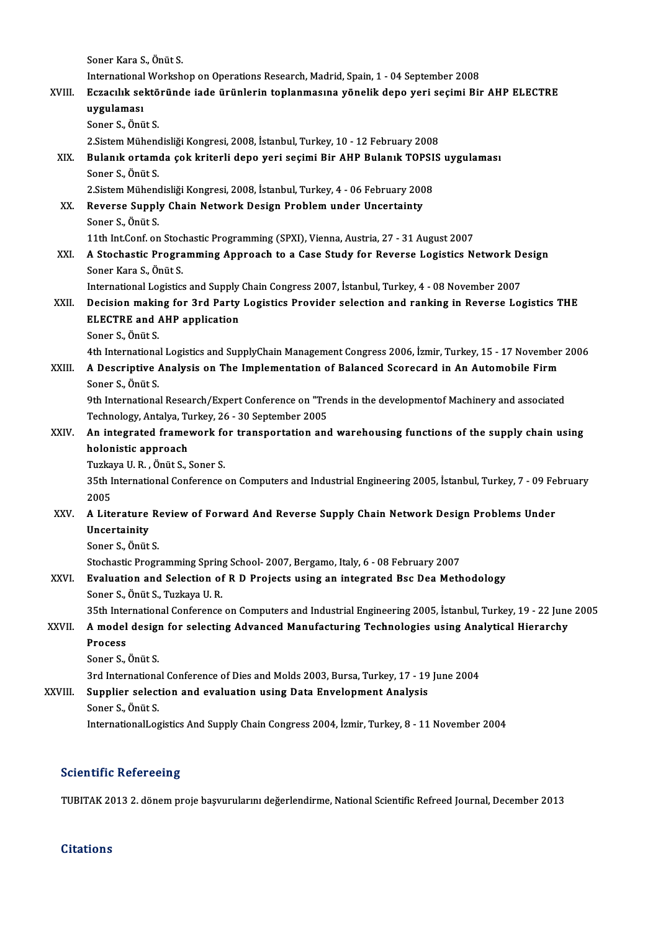|              | Soner Kara S., Önüt S.                                                                                                                              |
|--------------|-----------------------------------------------------------------------------------------------------------------------------------------------------|
|              | International Workshop on Operations Research, Madrid, Spain, 1 - 04 September 2008                                                                 |
| XVIII.       | Eczacılık sektöründe iade ürünlerin toplanmasına yönelik depo yeri seçimi Bir AHP ELECTRE                                                           |
|              | uygulaması                                                                                                                                          |
|              | Soner S., Önüt S.                                                                                                                                   |
|              | 2.Sistem Mühendisliği Kongresi, 2008, İstanbul, Turkey, 10 - 12 February 2008                                                                       |
| XIX.         | Bulanık ortamda çok kriterli depo yeri seçimi Bir AHP Bulanık TOPSIS uygulaması                                                                     |
|              | Soner S., Önüt S.                                                                                                                                   |
|              | 2. Sistem Mühendisliği Kongresi, 2008, İstanbul, Turkey, 4 - 06 February 2008                                                                       |
| XX.          | Reverse Supply Chain Network Design Problem under Uncertainty                                                                                       |
|              | Soner S., Önüt S.                                                                                                                                   |
|              | 11th Int.Conf. on Stochastic Programming (SPXI), Vienna, Austria, 27 - 31 August 2007                                                               |
| XXI.         | A Stochastic Programming Approach to a Case Study for Reverse Logistics Network Design<br>Soner Kara S., Önüt S.                                    |
|              | International Logistics and Supply Chain Congress 2007, İstanbul, Turkey, 4 - 08 November 2007                                                      |
| XXII.        | Decision making for 3rd Party Logistics Provider selection and ranking in Reverse Logistics THE                                                     |
|              | <b>ELECTRE and AHP application</b>                                                                                                                  |
|              | Soner S., Önüt S.                                                                                                                                   |
|              | 4th International Logistics and SupplyChain Management Congress 2006, İzmir, Turkey, 15 - 17 November 2006                                          |
| XXIII.       | A Descriptive Analysis on The Implementation of Balanced Scorecard in An Automobile Firm                                                            |
|              | Soner S., Önüt S.                                                                                                                                   |
|              | 9th International Research/Expert Conference on "Trends in the developmentof Machinery and associated                                               |
|              | Technology, Antalya, Turkey, 26 - 30 September 2005                                                                                                 |
| <b>XXIV</b>  | An integrated framework for transportation and warehousing functions of the supply chain using                                                      |
|              | holonistic approach                                                                                                                                 |
|              | Tuzkaya U.R., Önüt S., Soner S.                                                                                                                     |
|              | 35th International Conference on Computers and Industrial Engineering 2005, İstanbul, Turkey, 7 - 09 February                                       |
|              | 2005                                                                                                                                                |
| XXV.         | A Literature Review of Forward And Reverse Supply Chain Network Design Problems Under                                                               |
|              | Uncertainity                                                                                                                                        |
|              | Soner S., Önüt S.                                                                                                                                   |
|              | Stochastic Programming Spring School- 2007, Bergamo, Italy, 6 - 08 February 2007                                                                    |
| XXVI.        | Evaluation and Selection of R D Projects using an integrated Bsc Dea Methodology                                                                    |
|              | Soner S., Önüt S., Tuzkaya U. R.<br>35th International Conference on Computers and Industrial Engineering 2005, İstanbul, Turkey, 19 - 22 June 2005 |
|              |                                                                                                                                                     |
| <b>XXVII</b> | A model design for selecting Advanced Manufacturing Technologies using Analytical Hierarchy<br>Process                                              |
|              | Soner S., Önüt S.                                                                                                                                   |
|              | 3rd International Conference of Dies and Molds 2003, Bursa, Turkey, 17 - 19 June 2004                                                               |
| XXVIII.      | Supplier selection and evaluation using Data Envelopment Analysis                                                                                   |
|              | Soner S., Önüt S.                                                                                                                                   |
|              | InternationalLogistics And Supply Chain Congress 2004, İzmir, Turkey, 8 - 11 November 2004                                                          |
|              |                                                                                                                                                     |

### **Scientific Refereeing**

TUBITAK 2013 2. dönem proje başvurularını değerlendirme, National Scientific Refreed Journal, December 2013

**Citations**